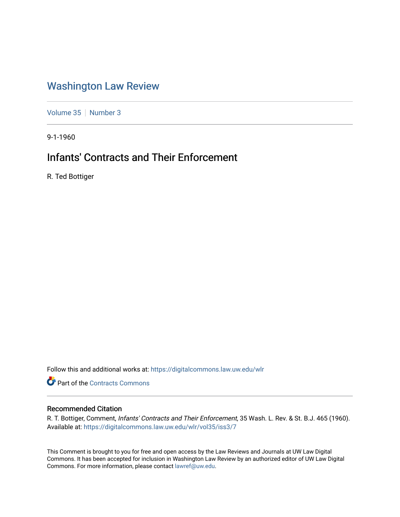## [Washington Law Review](https://digitalcommons.law.uw.edu/wlr)

[Volume 35](https://digitalcommons.law.uw.edu/wlr/vol35) | [Number 3](https://digitalcommons.law.uw.edu/wlr/vol35/iss3)

9-1-1960

# Infants' Contracts and Their Enforcement

R. Ted Bottiger

Follow this and additional works at: [https://digitalcommons.law.uw.edu/wlr](https://digitalcommons.law.uw.edu/wlr?utm_source=digitalcommons.law.uw.edu%2Fwlr%2Fvol35%2Fiss3%2F7&utm_medium=PDF&utm_campaign=PDFCoverPages)

**Part of the [Contracts Commons](http://network.bepress.com/hgg/discipline/591?utm_source=digitalcommons.law.uw.edu%2Fwlr%2Fvol35%2Fiss3%2F7&utm_medium=PDF&utm_campaign=PDFCoverPages)** 

### Recommended Citation

R. T. Bottiger, Comment, Infants' Contracts and Their Enforcement, 35 Wash. L. Rev. & St. B.J. 465 (1960). Available at: [https://digitalcommons.law.uw.edu/wlr/vol35/iss3/7](https://digitalcommons.law.uw.edu/wlr/vol35/iss3/7?utm_source=digitalcommons.law.uw.edu%2Fwlr%2Fvol35%2Fiss3%2F7&utm_medium=PDF&utm_campaign=PDFCoverPages)

This Comment is brought to you for free and open access by the Law Reviews and Journals at UW Law Digital Commons. It has been accepted for inclusion in Washington Law Review by an authorized editor of UW Law Digital Commons. For more information, please contact [lawref@uw.edu](mailto:lawref@uw.edu).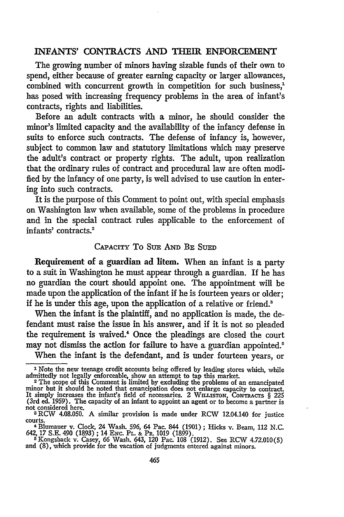#### INFANTS' CONTRACTS AND THEIR ENFORCEMENT

The growing number of minors having sizable funds of their own to spend, either because of greater earning capacity or larger allowances, combined with concurrent growth in competition for such business,' has posed with increasing frequency problems in the area of infant's contracts, rights and liabilities.

Before an adult contracts with a minor, he should consider the minor's limited capacity and the availability of the infancy defense in suits to enforce such contracts. The defense of infancy is, however, subject to common law and statutory limitations which may preserve the adult's contract or property rights. The adult, upon realization that the ordinary rules of contract and procedural law are often modified **by** the infancy of one party, is well advised to use caution in entering into such contracts.

It is the purpose of this Comment to point out, with special emphasis on Washington law when available, some of the problems in procedure and in the special contract rules applicable to the enforcement of infants' contracts.<sup>2</sup>

#### CAPACITY To **SuE AND** BE **SUED**

Requirement of a guardian ad litem. When an infant is a party to a suit in Washington he must appear through a guardian. If he has no guardian the court should appoint one. The appointment will be made upon the application of the infant if he is fourteen years or older; if he is under this age, upon the application of a relative or friend.'

When the infant is the plaintiff, and no application is made, the defendant must raise the issue in his answer, and if it is not so pleaded the requirement is waived.' Once the pleadings are closed the court may not dismiss the action for failure to have a guardian appointed.<sup>5</sup>

When the infant is the defendant, and is under fourteen years, or

<sup>1</sup> Note the new teenage credit accounts being offered **by** leading stores which, while admittedly not legally enforceable, show an attempt to tap this market. **<sup>2</sup>**The scope of this Comment is limited **by** excluding the problems of an emancipated

minor but it should be noted that emancipation does not enlarge capacity to contract. It simply increases the infant's field of necessaries. 2 WILLISTON, CONTRACTS § 225 (3rd ed. 1959). The capacity of an infant to appoint an agent or to become a partner is

not considered here. **3** RCW 4.08.050. A similar provision is made under RCW 12.04.140 for justice courts.

<sup>4</sup>Blumauer v. Clock, 24 Wash. 596, 64 Pac. 844 **(1901) ;** Hicks v. Beam, 112 N.C.

<sup>642, 17</sup> S.E. 490 (1893); 14 Enc. Pr. & Pr. 1019 (1899).<br>
<sup>5</sup> Kongsback v. Casey, 66 Wash. 643, 120 Pac. 108 (1912). See RCW 4.72.010(5 and (8), which provide for the vacation of judgments entered against minors.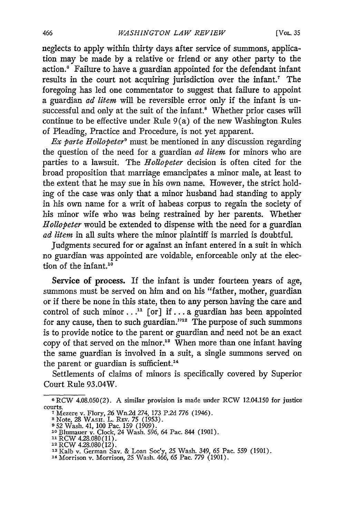neglects to apply within thirty days after service of summons, application may be made by a relative or friend or any other party to the action.' Failure to have a guardian appointed for the defendant infant results in the court not acquiring jurisdiction over the infant.<sup>7</sup> The foregoing has led one commentator to suggest that failure to appoint a guardian *ad litem* will be reversible error only if the infant is unsuccessful and only at the suit of the infant.<sup>8</sup> Whether prior cases will continue to be effective under Rule 9(a) of the new Washington Rules of Pleading, Practice and Procedure, is not yet apparent.

*Ex parte Hollopeter'* must be mentioned in any discussion regarding the question of the need for a guardian *ad litem* for minors who are parties to a lawsuit. The *Hollopeter* decision is often cited for the broad proposition that marriage emancipates a minor male, at least to the extent that he may sue in his own name. However, the strict holding of the case was only that a minor husband had standing to apply in his own name for a writ of habeas corpus to regain the society of his minor wife who was being restrained by her parents. Whether *Hollopeter* would be extended to dispense with the need for a guardian *ad litem* in all suits where the minor plaintiff is married is doubtful.

Judgments secured for or against an infant entered in a suit in which no guardian was appointed are voidable, enforceable only at the election of the infant.<sup>10</sup>

Service of process. If the infant is under fourteen years of age, summons must be served on him and on his "father, mother, guardian or if there be none in this state, then to any person having the care and control of such minor...<sup>11</sup> [or] if...a guardian has been appointed for any cause, then to such guardian."<sup>12</sup> The purpose of such summons is to provide notice to the parent or guardian and need not be an exact copy of that served on the minor." When more than one infant having the same guardian is involved in a suit, a single summons served on the parent or guardian is sufficient.<sup>14</sup>

Settlements of claims of minors is specifically covered by Superior Court Rule 93.04W.

**<sup>6</sup>**RCW 4.08.050(2). A similar provision is made under RCW 12.04.150 for justice courts.

**<sup>7</sup>**Mezere v. Flory, 26 Wn.2d *274, 173* P.2d 776 (1946).

**<sup>8</sup>**Note, 28 WASH. L. REv. 75 (1953). **9** 52 Wash. 41, 100 Pac. 159 (1909).

<sup>&</sup>lt;sup>10</sup> Blumauer v. Clock, 24 Wash. 596, 64 Pac. 844 (1901)<br><sup>11</sup> RCW 4.28.080(11).<br><sup>12</sup> RCW 4.28.080(12).

<sup>13</sup> Kalb v. German Sav. & Loan Soc'y, 25 Wash. 349, 65 Pac. 559 (1901).<br><sup>14</sup> Morrison v. Morrison, 25 Wash. 466, 65 Pac. 779 (1901).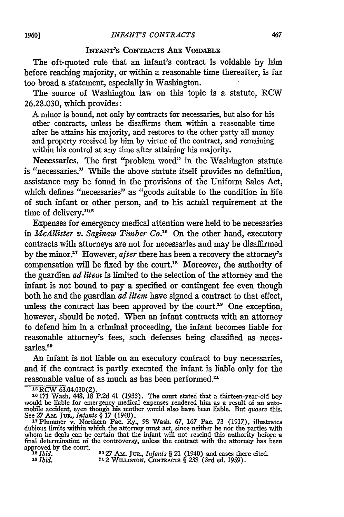#### INFANT'S CONTRACTS **ARE** VOIDABLE

The oft-quoted rule that an infant's contract is voidable **by** him before reaching majority, or within a reasonable time thereafter, is far too broad a statement, especially in Washington.

The source of Washington law on this topic is a statute, RCW 26.28.030, which provides:

A minor is bound, not only **by** contracts for necessaries, but also for his other contracts, unless he disaffirms them within a reasonable time after he attains his majority, and restores to the other party all money and property received by him by virtue of the contract, and remaining within his control at any time after attaining his majority.

Necessaries. The first "problem word" in the Washington statute is "necessaries." While the above statute itself provides no definition, assistance may be found in the provisions of the Uniform Sales Act, which defines "necessaries" as "goods suitable to the condition in life of such infant or other person, and to his actual requirement at the time of delivery."<sup>15</sup>

Expenses for emergency medical attention were held to be necessaries *in McAllister v. Saginaw Timber Co."8* On the other hand, executory contracts with attorneys are not for necessaries and may be disaffirmed by the minor." However, *after* there has been a recovery the attorney's compensation will be fixed by the court.<sup>18</sup> Moreover, the authority of the guardian *ad litem* is limited to the selection of the attorney and the infant is not bound to pay a specified or contingent fee even though both he and the guardian *ad litem* have signed a contract to that effect, unless the contract has been approved by the court.<sup>19</sup> One exception, however, should be noted. When an infant contracts with an attorney to defend him in a criminal proceeding, the infant becomes liable for reasonable attorney's fees, such defenses being classified as necessaries.<sup>20</sup>

An infant is not liable on an executory contract to buy necessaries, and if the contract is partly executed the infant is liable only for the reasonable value of as much as has been performed."

**'s** RCW 63.04.030 (2). **<sup>16</sup>**171 Wash. 448, 18 P.2d 41 (1933). The court stated that a thirteen-year-old boy would be liable for emergency medical expenses rendered him as a result of an auto-mobile accident, even though his mother would also have been liable. But *quaere this.*

See 27 AM. JUR., *Infants* § 17 (1940).<br><sup>17</sup> Plummer v. Northern Pac. Ry., 98 Wash. 67, 167 Pac. 73 (1917), illustrates<br>dubious limits within which the attorney must act, since neither he nor the parties with<br>whom he deals final determination of the controversy, unless the contract with the attorney has been approved by the court.<br> $18$  *lbid.* 

**Is** *Ibid.* **20 27** AM. *Jm., Infants §* 21 (1940) and cases there cited. *<sup>19</sup>Ibid.* 212 Wm.msToN, CoNTaAcTs § **238** (3rd ed. 1959).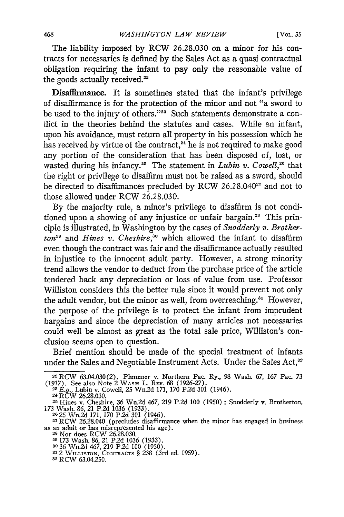The liability imposed by RCW 26.28.030 on a minor for his contracts for necessaries is defined by the Sales Act as a quasi contractual obligation requiring the infant to pay only the reasonable value of the goods actually received.<sup>22</sup>

Disafflrance. It is sometimes stated that the infant's privilege of disaffirmance is for the protection of the minor and not "a sword to be used to the injury of others."<sup>23</sup> Such statements demonstrate a conflict in the theories behind the statutes and cases. While an infant, upon his avoidance, must return all property in his possession which he has received by virtue of the contract,<sup>24</sup> he is not required to make good any portion of the consideration that has been disposed of, lost, or wasted during his infancy.<sup>25</sup> The statement in *Lubin v. Cowell*,<sup>26</sup> that the right or privilege to disaffirm must not be raised as a sword, should be directed to disaffimances precluded by RCW 26.28.040<sup>27</sup> and not to those allowed under RCW 26.28.030.

By the majority rule, a minor's privilege to disaffirm is not conditioned upon a showing of any injustice or unfair bargain.<sup>28</sup> This principle is illustrated, in Washington by the cases of *Snodderly v. Brotherton"* and *Hines v. Cheshire,"0* which allowed the infant to disaffirm even though the contract was fair and the disaffirmance actually resulted in injustice to the innocent adult party. However, a strong minority trend allows the vendor to deduct from the purchase price of the article tendered back any depreciation or loss of value from use. Professor Williston considers this the better rule since it would prevent not only the adult vendor, but the minor as well, from overreaching."' However, the purpose of the privilege is to protect the infant from imprudent bargains and since the depreciation of many articles not necessaries could well be almost as great as the total sale price, Williston's conclusion seems open to question.

Brief mention should be made of the special treatment of infants under the Sales and Negotiable Instrument Acts. Under the Sales Act,<sup>32</sup>

**<sup>22</sup>**RCW 63.04.030(2). Plummer v. Northern Pac. Ry., 98 Wash. 67, 167 Pac. *73* (1917). See also Note 2 **WASH** L. **REv.** 68 (1926-27). *23 E.g.,* Lubin v. Cowell, 25 Wn.2d 171, 170 P.2d 301 (1946).

<sup>24</sup> RCW **26.28.030. <sup>25</sup>**Hines v. Cheshire, 36 Wn.2d 467, 219 P.2d 100 (1950) ; Snodderly v. Brotherton, *<sup>173</sup>*Wash. 86, 21 P.2d 1036 (1933). **26 25** Wn.2d 171, 170 P.2d 301 (1946).

**<sup>27</sup>**RCW 26.28.040 (precludes disaffirmance when the minor has engaged in business as an adult or has misrepresented his age). **<sup>28</sup>**Nor does RCW 26.28.030. **<sup>29</sup>**173 Wash. 86, 21 P.2d 1036 (1933).

so36 Wn.2d 467, 219 P.2d 100 (1950). **<sup>312</sup>**WILLISTON, **CONTRACTS** § 238 (3rd ed. 1959).

**<sup>32</sup>**RCW 63.04.250.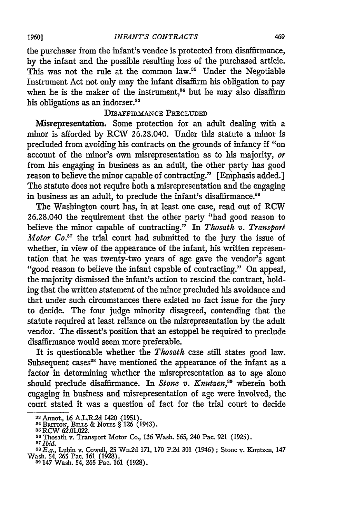the purchaser from the infant's vendee is protected from disaffirmance, by the infant and the possible resulting loss of the purchased article. This was not the rule at the common law.<sup>88</sup> Under the Negotiable Instrument Act not only may the infant disaffirm his obligation to pay when he is the maker of the instrument, $34$  but he may also disaffirm his obligations as an indorser.<sup>85</sup>

#### DISAFFnMANCE **PRECLUDED**

Misrepresentation. Some protection for an adult dealing with a minor is afforded by RCW 26.28.040. Under this statute a minor is precluded from avoiding his contracts on the grounds of infancy if "on account of the minor's own misrepresentation as to his majority, *or* from his engaging in business as an adult, the other party has good reason to believe the minor capable of contracting." [Emphasis added.] The statute does not require both a misrepresentation and the engaging in business as an adult, to preclude the infant's disaffirmance.<sup>36</sup>

The Washington court has, in at least one case, read out of RCW 26.28.040 the requirement that the other party "had good reason to believe the minor capable of contracting." In *Thosath v. Transport Motor Co."7* the trial court had submitted to the jury the issue of whether, in view of the appearance of the infant, his written representation that he was twenty-two years of age gave the vendor's agent "good reason to believe the infant capable of contracting." On appeal, the majority dismissed the infant's action to rescind the contract, holding that the written statement of the minor precluded his avoidance and that under such circumstances there existed no fact issue for the jury to decide. The four judge minority disagreed, contending that the statute required at least reliance on the misrepresentation by the adult vendor. The dissent's position that an estoppel be required to preclude disaffirmance would seem more preferable.

It is questionable whether the *Thosath* case still states good law. Subsequent cases<sup>38</sup> have mentioned the appearance of the infant as a factor in determining whether the misrepresentation as to age alone should preclude disaffirmance. In *Stone v. Knutzen*,<sup>39</sup> wherein both engaging in business and misrepresentation of age were involved, the court stated it was a question of fact for the trial court to decide

**<sup>33</sup> Annot, 16 A.L.R.2d 1420 (1951).**<br><sup>34</sup> Britton, Bills & Notes § 126 (1943)

**s5** RCW 62.01.022. **<sup>38</sup>**Thosath v. Transport Motor Co., 136 Wash. 565, 240 Pac. **921** (1925). **<sup>87</sup>***Ibid. <sup>38</sup>E.g.,* Lubin v. Cowell, 25 Wn.2d 171, 170 **P2d** 301 (1946) ; Stone v. Knutzen, 147

Wash. 54, **265** Pac. 161 (1928). **<sup>39</sup>**147 Wash. 54, **265** Pac. 161 (1928).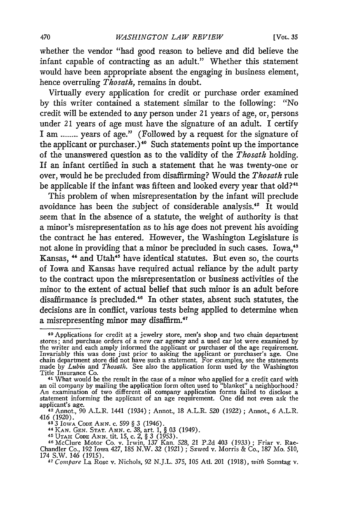whether the vendor "had good reason to believe and did believe the infant capable of contracting as an adult." Whether this statement would have been appropriate absent the engaging in business element, hence overruling *Thosath,* remains in doubt.

Virtually every application for credit or purchase order examined **by** this writer contained a statement similar to the following: "No credit will be extended to any person under 21 years of age, or, persons under 21 years of age must have the signature of an adult. I certify I am **------** years of age." (Followed **by** a request for the signature of the applicant or purchaser.)<sup>40</sup> Such statements point up the importance of the unanswered question as to the validity of the *Thosath* holding. If an infant certified in such a statement that he was twenty-one or over, would he be precluded from disaffirming? Would the *Thosath* rule be applicable if the infant was fifteen and looked every year that old?<sup>41</sup>

This problem of when misrepresentation **by** the infant will preclude avoidance has been the subject of considerable analysis.<sup>42</sup> It would seem that in the absence of a statute, the weight of authority is that a minor's misrepresentation as to his age does not prevent his avoiding the contract he has entered. However, the Washington Legislature is not alone in providing that a minor be precluded in such cases. Iowa,"3 Kansas, <sup>44</sup> and Utah<sup>45</sup> have identical statutes. But even so, the courts of Iowa and Kansas have required actual reliance **by** the adult party to the contract upon the misrepresentation or business activities of the minor to the extent of actual belief that such minor is an adult before disaffirmance is precluded.<sup>46</sup> In other states, absent such statutes, the decisions are in conflict, various tests being applied to determine when a misrepresenting minor may disaffirm.<sup>47</sup>

43 3 Iowa Cope Ann. c. 599 § 3 (1946).<br>44 Kan. Gen. Stat. Ann. c. 38, art. 1, § 03 (1949).<br>45 Urah Cope Ann. tit. 15, c. 2, § 3 (1953).<br>46 McClure Motor Co. v. Irwin. 137 Kan. 528, 21, P.2d 403 (1933) : Friar v. Rae-

<sup>40</sup> Applications for credit at a jewelry store, men's shop and two chain department stores; and purchase orders of a new car agency and a used car lot were examined by<br>the writer and each amply informed the applicant or purchaser of the age requirement<br>Invariably this was done just prior to asking the app chain department store did not have such a statement. For examples, see the statements made **by** *Lubin* and *Thosath.* See also the application form used **by** the Washington Title Insurance Co.<br><sup>41</sup> What would be the result in the case of a minor who applied for a credit card with

an oil company by mailing the application form often used to "blanket" a neighborhood An examination of two different oil company application forms failed to disclose a statement informing the applicant of an age requirement. One did not even ask the

applicant's age. **<sup>42</sup>**Annot., 90 A.L.R. 1441 (1934) **;** Annot, 18 A.L.R. 520 (1922) ; Annot., 6 A.L.R. 416 (1920).

Chandler Co., 192 Iowa 427, 185 N.W. 32 (1921) ; Szwed v. Morris & Co., 187 Mo. 510, 174 S.W. 146 (1915). *47 Compare* La Rose v. Nichols, 92 N.J.L. 375, 105 Atl. 201 (1918), *with* Sonntag v.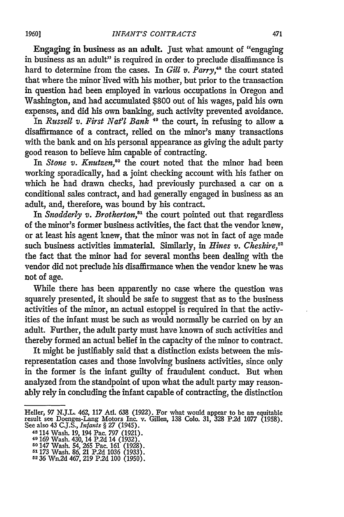Engaging in business as an adult. Just what amount of "engaging in business as an adult" is required in order to preclude disaffimance is hard to determine from the cases. In *Gill v. Parry,"8* the court stated that where the minor lived with his mother, but prior to the transaction in question had been employed in various occupations in Oregon and Washington, and had accumulated \$800 out of his wages, paid his own expenses, and did his own banking, such activity prevented avoidance.

In *Russell v. First Nat'l Bank*<sup>49</sup> the court, in refusing to allow a disaffirmance of a contract, relied on the minor's many transactions with the bank and on his personal appearance as giving the adult party good reason to believe him capable of contracting.

In *Stone v. Knutzen*,<sup>50</sup> the court noted that the minor had been working sporadically, had a joint checking account with his father on which he had drawn checks, had previously purchased a car on a conditional sales contract, and had generally engaged in business as an adult, and, therefore, was bound by his contract.

In *Snodderly v. Brotherton,5'* the court pointed out that regardless of the minor's former business activities, the fact that the vendor knew, or at least his agent knew, that the minor was not in fact of age made such business activities immaterial. Similarly, in *Hines v. Cheshire*,<sup>52</sup> the fact that the minor had for several months been dealing with the vendor did not preclude his disaffirmance when the vendor knew he was not of age.

While there has been apparently no case where the question was squarely presented, it should be safe to suggest that as to the business activities of the minor, an actual estoppel is required in that the activities of the infant must be such as would normally be carried on by an adult. Further, the adult party must have known of such activities and thereby formed an actual belief in the capacity of the minor to contract.

It might be justifiably said that a distinction exists between the misrepresentation cases and those involving business activities, since only in the former is the infant guilty of fraudulent conduct. But when analyzed from the standpoint of upon what the adult party may reasonably rely in concluding the infant capable of contracting, the distinction

Heller, 97 N.J.L. 462, 117 Atl. 638 (1922). For what would appear to be an equitable result see Doenges-Lang Motors Inc. v. Gillen, 138 Colo. 31, 328 P2d 1077 (1958). See also 43 C.J.S., *Infants §* **27** (1945).

<sup>48 114</sup> Wash. 19, 194 Pac. 797 (1921).

<sup>49</sup>169 Wash. 430, 14 P.2d 14 (1932). **<sup>50</sup>**147 Wash. 54, **265** Pac. 161 (1928). *<sup>51173</sup>*Wash. 86, 21 P.2d 1036 (1933). **52 36** Wn.2d 467, **219** P.2d 100 (1950).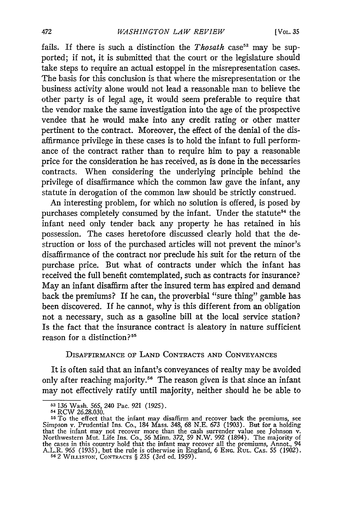fails. If there is such a distinction the *Thosath* case<sup>53</sup> may be supported; if not, it is submitted that the court or the legislature should take steps to require an actual estoppel in the misrepresentation cases. The basis for this conclusion is that where the misrepresentation or the business activity alone would not lead a reasonable man to believe the other party is of legal age, it would seem preferable to require that the vendor make the same investigation into the age of the prospective vendee that he would make into any credit rating or other matter pertinent to the contract. Moreover, the effect of the denial of the disaffirmance privilege in these cases is to hold the infant to full performance of the contract rather than to require him to pay a reasonable price for the consideration he has received, as is done in the necessaries contracts. When considering the underlying principle behind the privilege of disaffirmance which the common law gave the infant, any statute in derogation of the common law should be strictly construed.

An interesting problem, for which no solution is offered, is posed **by** purchases completely consumed by the infant. Under the statute<sup>54</sup> the infant need only tender back any property he has retained in his possession. The cases heretofore discussed clearly hold that the destruction or loss of the purchased articles will not prevent the minor's disaffirmance of the contract nor preclude his suit for the return of the purchase price. But what of contracts under which the infant has received the full benefit comtemplated, such as contracts for insurance? May an infant disaffirm after the insured term has expired and demand back the premiums? If he can, the proverbial "sure thing" gamble has been discovered. If he cannot, why is this different from an obligation not a necessary, such as a gasoline bill at the local service station? Is the fact that the insurance contract is aleatory in nature sufficient reason for a distinction?<sup>55</sup>

#### DISAFFIRMANCE OF LAND **CONTRACTS** AND CONVEYANCES

It is often said that an infant's conveyances of realty may be avoided only after reaching majority.<sup>56</sup> The reason given is that since an infant may not effectively ratify until majority, neither should he be able to

**<sup>53</sup>**136 Wash. 565, 240 Pac. 921 (1925).

**<sup>5-</sup>** RCW 26.28.030.

<sup>&</sup>lt;sup>55</sup>To the effect that the infant may disaffirm and recover back the premiums, see Simpson v. Prudential Ins. Co., 184 Mass. 348, 68 N.E. 673 (1903). But for a holding<br>that the infant may not recover more than the cash surrender value see Johnson v.<br>Northwestern Mut. Life Ins. Co., 56 Minn. 372, 59 N.W. the cases in this country hold that the infant may recover all the premiums, Annot., 94 A.L.R. 965 (1935), but the rule is otherwise in England, 6 ENG. **RUL. CAS.** 55 (1902). **<sup>56</sup>**2 WILLISTON, CONTRACTS § 235 (3rd ed. 1959).